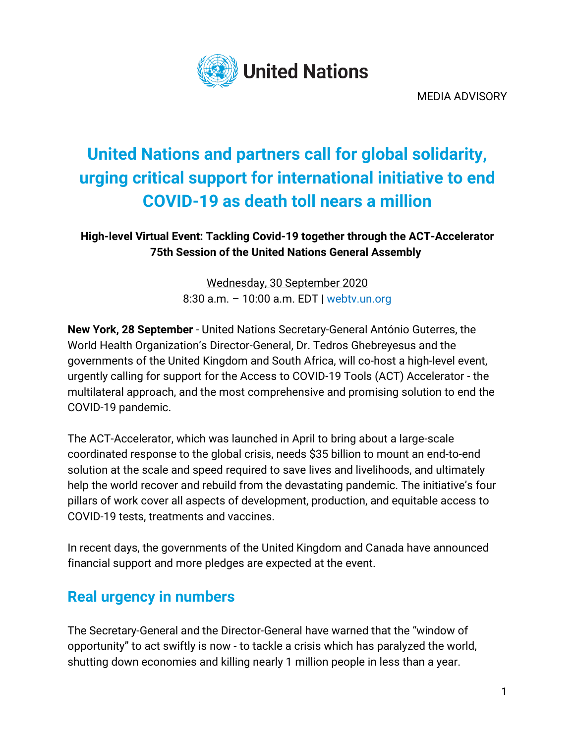

MEDIA ADVISORY

# **United Nations and partners call for global solidarity, urging critical support for international initiative to end COVID-19 as death toll nears a million**

## **High-level Virtual Event: Tackling Covid-19 together through the ACT-Accelerator 75th Session of the United Nations General Assembly**

Wednesday, 30 September 2020 8:30 a.m. – 10:00 a.m. EDT | [webtv.un.org](http://webtv.un.org/)

**New York, 28 September** - United Nations Secretary-General António Guterres, the World Health Organization's Director-General, Dr. Tedros Ghebreyesus and the governments of the United Kingdom and South Africa, will co-host a high-level event, urgently calling for support for the Access to COVID-19 Tools (ACT) Accelerator - the multilateral approach, and the most comprehensive and promising solution to end the COVID-19 pandemic.

The ACT-Accelerator, which was launched in April to bring about a large-scale coordinated response to the global crisis, needs \$35 billion to mount an end-to-end solution at the scale and speed required to save lives and livelihoods, and ultimately help the world recover and rebuild from the devastating pandemic. The initiative's four pillars of work cover all aspects of development, production, and equitable access to COVID-19 tests, treatments and vaccines.

In recent days, the governments of the United Kingdom and Canada have announced financial support and more pledges are expected at the event.

# **Real urgency in numbers**

The Secretary-General and the Director-General have warned that the "window of opportunity" to act swiftly is now - to tackle a crisis which has paralyzed the world, shutting down economies and killing nearly 1 million people in less than a year.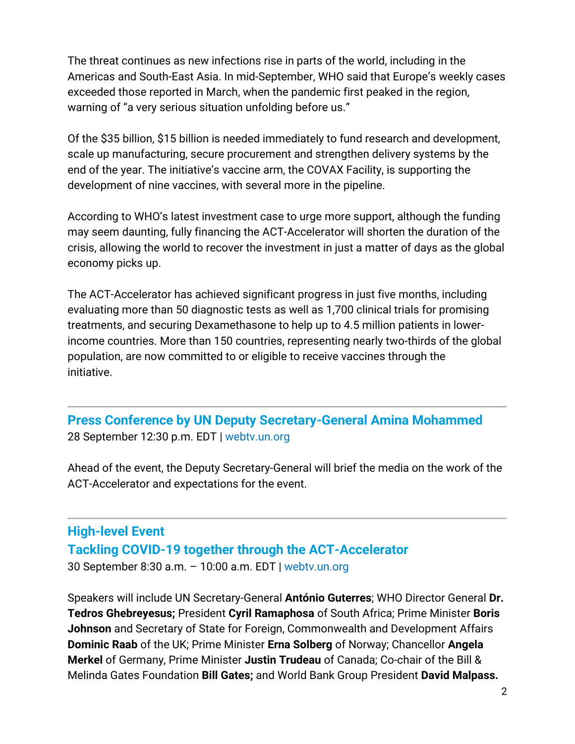The threat continues as new infections rise in parts of the world, including in the Americas and South-East Asia. In mid-September, WHO said that Europe's weekly cases exceeded those reported in March, when the pandemic first peaked in the region, warning of "a very serious situation unfolding before us."

Of the \$35 billion, \$15 billion is needed immediately to fund research and development, scale up manufacturing, secure procurement and strengthen delivery systems by the end of the year. The initiative's vaccine arm, the COVAX Facility, is supporting the development of nine vaccines, with several more in the pipeline.

According to WHO's latest investment case to urge more support, although the funding may seem daunting, fully financing the ACT-Accelerator will shorten the duration of the crisis, allowing the world to recover the investment in just a matter of days as the global economy picks up.

The ACT-Accelerator has achieved significant progress in just five months, including evaluating more than 50 diagnostic tests as well as 1,700 clinical trials for promising treatments, and securing Dexamethasone to help up to 4.5 million patients in lowerincome countries. More than 150 countries, representing nearly two-thirds of the global population, are now committed to or eligible to receive vaccines through the initiative.

# **Press Conference by UN Deputy Secretary-General Amina Mohammed**  28 September 12:30 p.m. EDT | [webtv.un.org](http://webtv.un.org/)

Ahead of the event, the Deputy Secretary-General will brief the media on the work of the ACT-Accelerator and expectations for the event.

# **High-level Event Tackling COVID-19 together through the ACT-Accelerator** 30 September 8:30 a.m. – 10:00 a.m. EDT | [webtv.un.org](http://webtv.un.org/)

Speakers will include UN Secretary-General **António Guterres**; WHO Director General **Dr. Tedros Ghebreyesus;** President **Cyril Ramaphosa** of South Africa; Prime Minister **Boris Johnson** and Secretary of State for Foreign, Commonwealth and Development Affairs **Dominic Raab** of the UK; Prime Minister **Erna Solberg** of Norway; Chancellor **Angela Merkel** of Germany, Prime Minister **Justin Trudeau** of Canada; Co-chair of the Bill & Melinda Gates Foundation **Bill Gates;** and World Bank Group President **David Malpass.**